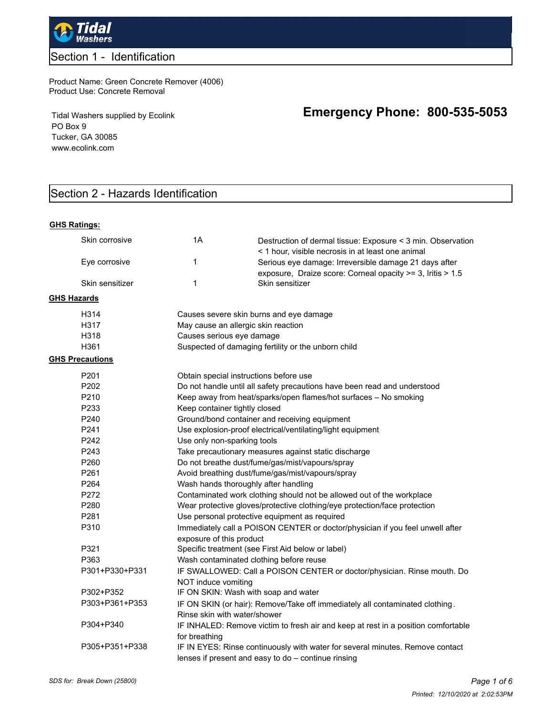

## Section 1 - Identification

#### Product Name: Green Concrete Remover (4006) Product Use: Concrete Removal

Tidal Washers supplied by Ecolink PO Box 9 Tucker, GA 30085 www.ecolink.com

# Section 2 - Hazards Identification

#### **GHS Ratings:**

| Skin corrosive         | 1A                                                                                                        | Destruction of dermal tissue: Exposure < 3 min. Observation<br>< 1 hour, visible necrosis in at least one animal                     |  |
|------------------------|-----------------------------------------------------------------------------------------------------------|--------------------------------------------------------------------------------------------------------------------------------------|--|
| Eye corrosive          | $\mathbf{1}$                                                                                              | Serious eye damage: Irreversible damage 21 days after                                                                                |  |
| Skin sensitizer        | $\mathbf{1}$                                                                                              | exposure, Draize score: Corneal opacity >= 3, Iritis > 1.5<br>Skin sensitizer                                                        |  |
| <b>GHS Hazards</b>     |                                                                                                           |                                                                                                                                      |  |
| H314                   |                                                                                                           | Causes severe skin burns and eye damage                                                                                              |  |
| H317                   |                                                                                                           | May cause an allergic skin reaction                                                                                                  |  |
| H318                   | Causes serious eye damage                                                                                 |                                                                                                                                      |  |
| H361                   |                                                                                                           | Suspected of damaging fertility or the unborn child                                                                                  |  |
| <b>GHS Precautions</b> |                                                                                                           |                                                                                                                                      |  |
| P201                   |                                                                                                           | Obtain special instructions before use                                                                                               |  |
| P <sub>202</sub>       |                                                                                                           | Do not handle until all safety precautions have been read and understood                                                             |  |
| P210                   |                                                                                                           | Keep away from heat/sparks/open flames/hot surfaces - No smoking                                                                     |  |
| P233                   | Keep container tightly closed                                                                             |                                                                                                                                      |  |
| P240                   |                                                                                                           | Ground/bond container and receiving equipment                                                                                        |  |
| P <sub>241</sub>       |                                                                                                           | Use explosion-proof electrical/ventilating/light equipment                                                                           |  |
| P242                   | Use only non-sparking tools                                                                               |                                                                                                                                      |  |
| P243                   | Take precautionary measures against static discharge                                                      |                                                                                                                                      |  |
| P260                   | Do not breathe dust/fume/gas/mist/vapours/spray                                                           |                                                                                                                                      |  |
| P261                   | Avoid breathing dust/fume/gas/mist/vapours/spray                                                          |                                                                                                                                      |  |
| P264                   | Wash hands thoroughly after handling                                                                      |                                                                                                                                      |  |
| P272                   | Contaminated work clothing should not be allowed out of the workplace                                     |                                                                                                                                      |  |
| P280                   | Wear protective gloves/protective clothing/eye protection/face protection                                 |                                                                                                                                      |  |
| P281                   | Use personal protective equipment as required                                                             |                                                                                                                                      |  |
| P310                   | Immediately call a POISON CENTER or doctor/physician if you feel unwell after<br>exposure of this product |                                                                                                                                      |  |
| P321                   |                                                                                                           | Specific treatment (see First Aid below or label)                                                                                    |  |
| P363                   | Wash contaminated clothing before reuse                                                                   |                                                                                                                                      |  |
| P301+P330+P331         |                                                                                                           | IF SWALLOWED: Call a POISON CENTER or doctor/physician. Rinse mouth. Do                                                              |  |
|                        | NOT induce vomiting                                                                                       |                                                                                                                                      |  |
| P302+P352              |                                                                                                           | IF ON SKIN: Wash with soap and water                                                                                                 |  |
| P303+P361+P353         |                                                                                                           | IF ON SKIN (or hair): Remove/Take off immediately all contaminated clothing.                                                         |  |
|                        | Rinse skin with water/shower                                                                              |                                                                                                                                      |  |
| P304+P340              |                                                                                                           | IF INHALED: Remove victim to fresh air and keep at rest in a position comfortable                                                    |  |
|                        | for breathing                                                                                             |                                                                                                                                      |  |
| P305+P351+P338         |                                                                                                           | IF IN EYES: Rinse continuously with water for several minutes. Remove contact<br>lenses if present and easy to do - continue rinsing |  |

# **Emergency Phone: 800-535-5053**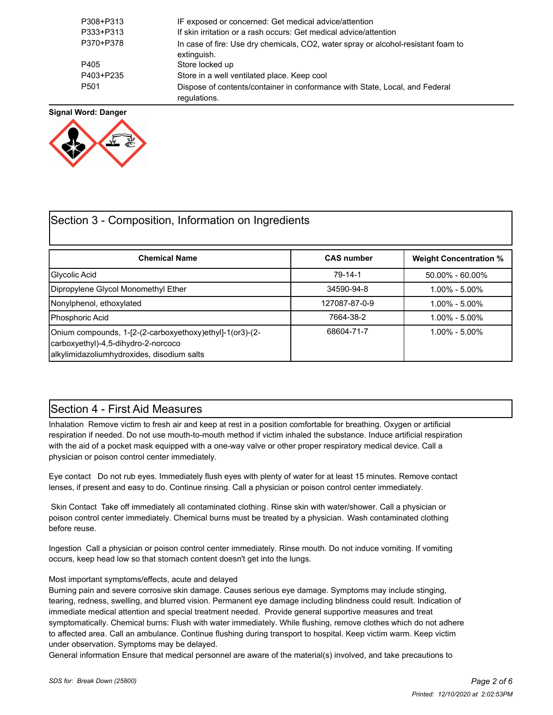| P308+P313 | IF exposed or concerned: Get medical advice/attention                                            |
|-----------|--------------------------------------------------------------------------------------------------|
| P333+P313 | If skin irritation or a rash occurs: Get medical advice/attention                                |
| P370+P378 | In case of fire: Use dry chemicals, CO2, water spray or alcohol-resistant foam to<br>extinguish. |
| P405      | Store locked up                                                                                  |
| P403+P235 | Store in a well ventilated place. Keep cool                                                      |
| P501      | Dispose of contents/container in conformance with State, Local, and Federal<br>regulations.      |

**Signal Word: Danger**



## Section 3 - Composition, Information on Ingredients

| <b>Chemical Name</b>                                                                                                                          | <b>CAS number</b> | <b>Weight Concentration %</b> |
|-----------------------------------------------------------------------------------------------------------------------------------------------|-------------------|-------------------------------|
| Glycolic Acid                                                                                                                                 | 79-14-1           | $50.00\% - 60.00\%$           |
| Dipropylene Glycol Monomethyl Ether                                                                                                           | 34590-94-8        | $1.00\% - 5.00\%$             |
| Nonylphenol, ethoxylated                                                                                                                      | 127087-87-0-9     | $1.00\% - 5.00\%$             |
| Phosphoric Acid                                                                                                                               | 7664-38-2         | $1.00\% - 5.00\%$             |
| Onium compounds, 1-[2-(2-carboxyethoxy)ethyl]-1(or3)-(2-<br>carboxyethyl)-4,5-dihydro-2-norcoco<br>alkylimidazoliumhydroxides, disodium salts | 68604-71-7        | $1.00\% - 5.00\%$             |

## Section 4 - First Aid Measures

Inhalation Remove victim to fresh air and keep at rest in a position comfortable for breathing. Oxygen or artificial respiration if needed. Do not use mouth-to-mouth method if victim inhaled the substance. Induce artificial respiration with the aid of a pocket mask equipped with a one-way valve or other proper respiratory medical device. Call a physician or poison control center immediately.

Eye contact Do not rub eyes. Immediately flush eyes with plenty of water for at least 15 minutes. Remove contact lenses, if present and easy to do. Continue rinsing. Call a physician or poison control center immediately.

 Skin Contact Take off immediately all contaminated clothing. Rinse skin with water/shower. Call a physician or poison control center immediately. Chemical burns must be treated by a physician. Wash contaminated clothing before reuse.

Ingestion Call a physician or poison control center immediately. Rinse mouth. Do not induce vomiting. If vomiting occurs, keep head low so that stomach content doesn't get into the lungs.

#### Most important symptoms/effects, acute and delayed

Burning pain and severe corrosive skin damage. Causes serious eye damage. Symptoms may include stinging, tearing, redness, swelling, and blurred vision. Permanent eye damage including blindness could result. Indication of immediate medical attention and special treatment needed. Provide general supportive measures and treat symptomatically. Chemical burns: Flush with water immediately. While flushing, remove clothes which do not adhere to affected area. Call an ambulance. Continue flushing during transport to hospital. Keep victim warm. Keep victim under observation. Symptoms may be delayed.

General information Ensure that medical personnel are aware of the material(s) involved, and take precautions to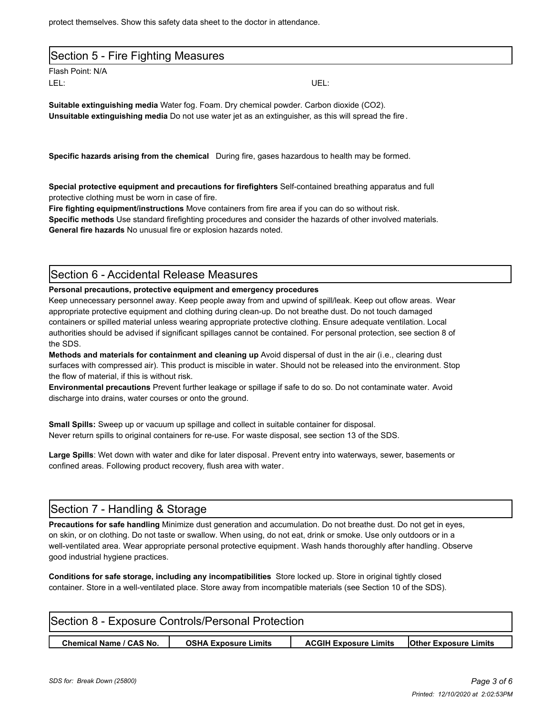protect themselves. Show this safety data sheet to the doctor in attendance.

| Section 5 - Fire Fighting Measures |  |
|------------------------------------|--|
|                                    |  |

Flash Point: N/A LEL: UEL:

**Suitable extinguishing media** Water fog. Foam. Dry chemical powder. Carbon dioxide (CO2). **Unsuitable extinguishing media** Do not use water jet as an extinguisher, as this will spread the fire.

**Specific hazards arising from the chemical** During fire, gases hazardous to health may be formed.

**Special protective equipment and precautions for firefighters** Self-contained breathing apparatus and full protective clothing must be worn in case of fire.

**Fire fighting equipment/instructions** Move containers from fire area if you can do so without risk. **Specific methods** Use standard firefighting procedures and consider the hazards of other involved materials. **General fire hazards** No unusual fire or explosion hazards noted.

## Section 6 - Accidental Release Measures

**Personal precautions, protective equipment and emergency procedures**

Keep unnecessary personnel away. Keep people away from and upwind of spill/leak. Keep out oflow areas. Wear appropriate protective equipment and clothing during clean-up. Do not breathe dust. Do not touch damaged containers or spilled material unless wearing appropriate protective clothing. Ensure adequate ventilation. Local authorities should be advised if significant spillages cannot be contained. For personal protection, see section 8 of the SDS.

**Methods and materials for containment and cleaning up** Avoid dispersal of dust in the air (i.e., clearing dust surfaces with compressed air). This product is miscible in water. Should not be released into the environment. Stop the flow of material, if this is without risk.

**Environmental precautions** Prevent further leakage or spillage if safe to do so. Do not contaminate water. Avoid discharge into drains, water courses or onto the ground.

**Small Spills:** Sweep up or vacuum up spillage and collect in suitable container for disposal. Never return spills to original containers for re-use. For waste disposal, see section 13 of the SDS.

**Large Spills**: Wet down with water and dike for later disposal. Prevent entry into waterways, sewer, basements or confined areas. Following product recovery, flush area with water.

## Section 7 - Handling & Storage

**Precautions for safe handling** Minimize dust generation and accumulation. Do not breathe dust. Do not get in eyes, on skin, or on clothing. Do not taste or swallow. When using, do not eat, drink or smoke. Use only outdoors or in a well-ventilated area. Wear appropriate personal protective equipment. Wash hands thoroughly after handling. Observe good industrial hygiene practices.

**Conditions for safe storage, including any incompatibilities** Store locked up. Store in original tightly closed container. Store in a well-ventilated place. Store away from incompatible materials (see Section 10 of the SDS).

| Section 8 - Exposure Controls/Personal Protection |                             |                              |                              |  |
|---------------------------------------------------|-----------------------------|------------------------------|------------------------------|--|
| <b>Chemical Name / CAS No.</b>                    | <b>OSHA Exposure Limits</b> | <b>ACGIH Exposure Limits</b> | <b>Other Exposure Limits</b> |  |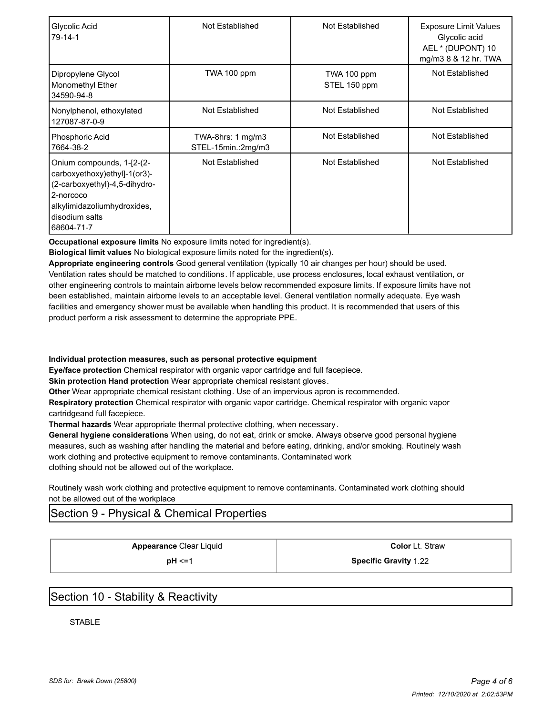| Glycolic Acid<br>$79 - 14 - 1$                                                                                                                                          | Not Established                                    | Not Established             | <b>Exposure Limit Values</b><br>Glycolic acid<br>AEL * (DUPONT) 10<br>mg/m3 8 & 12 hr. TWA |
|-------------------------------------------------------------------------------------------------------------------------------------------------------------------------|----------------------------------------------------|-----------------------------|--------------------------------------------------------------------------------------------|
| Dipropylene Glycol<br>Monomethyl Ether<br>34590-94-8                                                                                                                    | TWA 100 ppm                                        | TWA 100 ppm<br>STEL 150 ppm | Not Established                                                                            |
| Nonylphenol, ethoxylated<br>127087-87-0-9                                                                                                                               | Not Established                                    | Not Established             | Not Established                                                                            |
| Phosphoric Acid<br>7664-38-2                                                                                                                                            | TWA-8hrs: $1 \text{ mg/m}$ 3<br>STEL-15min.:2mg/m3 | Not Established             | Not Established                                                                            |
| Onium compounds, 1-[2-(2-<br>carboxyethoxy)ethyl]-1(or3)-<br>(2-carboxyethyl)-4,5-dihydro-<br>2-norcoco<br>alkylimidazoliumhydroxides,<br>disodium salts<br> 68604-71-7 | Not Established                                    | Not Established             | Not Established                                                                            |

**Occupational exposure limits** No exposure limits noted for ingredient(s).

**Biological limit values** No biological exposure limits noted for the ingredient(s).

**Appropriate engineering controls** Good general ventilation (typically 10 air changes per hour) should be used. Ventilation rates should be matched to conditions. If applicable, use process enclosures, local exhaust ventilation, or other engineering controls to maintain airborne levels below recommended exposure limits. If exposure limits have not been established, maintain airborne levels to an acceptable level. General ventilation normally adequate. Eye wash facilities and emergency shower must be available when handling this product. It is recommended that users of this product perform a risk assessment to determine the appropriate PPE.

**Individual protection measures, such as personal protective equipment**

**Eye/face protection** Chemical respirator with organic vapor cartridge and full facepiece.

**Skin protection Hand protection** Wear appropriate chemical resistant gloves.

**Other** Wear appropriate chemical resistant clothing. Use of an impervious apron is recommended.

**Respiratory protection** Chemical respirator with organic vapor cartridge. Chemical respirator with organic vapor cartridgeand full facepiece.

**Thermal hazards** Wear appropriate thermal protective clothing, when necessary .

**General hygiene considerations** When using, do not eat, drink or smoke. Always observe good personal hygiene measures, such as washing after handling the material and before eating, drinking, and/or smoking. Routinely wash work clothing and protective equipment to remove contaminants. Contaminated work clothing should not be allowed out of the workplace.

Routinely wash work clothing and protective equipment to remove contaminants. Contaminated work clothing should not be allowed out of the workplace

## Section 9 - Physical & Chemical Properties

**Appearance** Clear Liquid **Color** Lt. Straw

**pH** <=1 **Specific Gravity** 1.22

## Section 10 - Stability & Reactivity

**STABLE**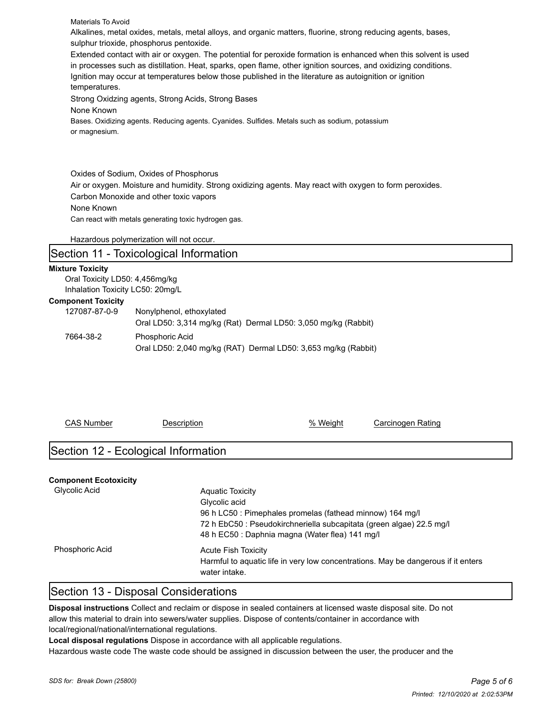Materials To Avoid

Alkalines, metal oxides, metals, metal alloys, and organic matters, fluorine, strong reducing agents, bases, sulphur trioxide, phosphorus pentoxide.

Extended contact with air or oxygen. The potential for peroxide formation is enhanced when this solvent is used in processes such as distillation. Heat, sparks, open flame, other ignition sources, and oxidizing conditions. Ignition may occur at temperatures below those published in the literature as autoignition or ignition temperatures.

Strong Oxidzing agents, Strong Acids, Strong Bases

None Known

Bases. Oxidizing agents. Reducing agents. Cyanides. Sulfides. Metals such as sodium, potassium or magnesium.

Oxides of Sodium, Oxides of Phosphorus Air or oxygen. Moisture and humidity. Strong oxidizing agents. May react with oxygen to form peroxides. Carbon Monoxide and other toxic vapors None Known Can react with metals generating toxic hydrogen gas.

Hazardous polymerization will not occur.

#### Section 11 - Toxicological Information

#### **Mixture Toxicity**

Oral Toxicity LD50: 4,456mg/kg Inhalation Toxicity LC50: 20mg/L

#### **Component Toxicity**

| pou           |                                                                |
|---------------|----------------------------------------------------------------|
| 127087-87-0-9 | Nonylphenol, ethoxylated                                       |
|               | Oral LD50: 3,314 mg/kg (Rat) Dermal LD50: 3,050 mg/kg (Rabbit) |
| 7664-38-2     | <b>Phosphoric Acid</b>                                         |
|               | Oral LD50: 2,040 mg/kg (RAT) Dermal LD50: 3,653 mg/kg (Rabbit) |

| <b>CAS Number</b>                   | <b>Description</b>                                                                                                                                       | % Weight | Carcinogen Rating                                                                 |
|-------------------------------------|----------------------------------------------------------------------------------------------------------------------------------------------------------|----------|-----------------------------------------------------------------------------------|
| Section 12 - Ecological Information |                                                                                                                                                          |          |                                                                                   |
| <b>Component Ecotoxicity</b>        |                                                                                                                                                          |          |                                                                                   |
| Glycolic Acid                       | <b>Aquatic Toxicity</b><br>Glycolic acid<br>96 h LC50 : Pimephales promelas (fathead minnow) 164 mg/l<br>48 h EC50 : Daphnia magna (Water flea) 141 mg/l |          | 72 h EbC50 : Pseudokirchneriella subcapitata (green algae) 22.5 mg/l              |
| <b>Phosphoric Acid</b>              | <b>Acute Fish Toxicity</b><br>water intake.                                                                                                              |          | Harmful to aguatic life in very low concentrations. May be dangerous if it enters |

## Section 13 - Disposal Considerations

**Disposal instructions** Collect and reclaim or dispose in sealed containers at licensed waste disposal site. Do not allow this material to drain into sewers/water supplies. Dispose of contents/container in accordance with local/regional/national/international regulations.

**Local disposal regulations** Dispose in accordance with all applicable regulations.

Hazardous waste code The waste code should be assigned in discussion between the user, the producer and the